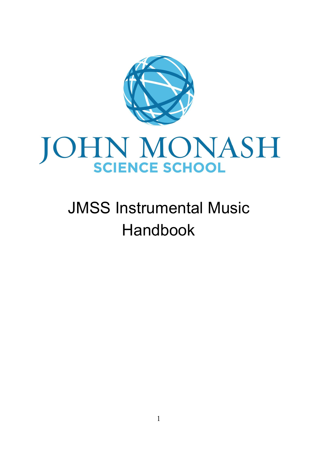

# JOHN MONASH

# JMSS Instrumental Music Handbook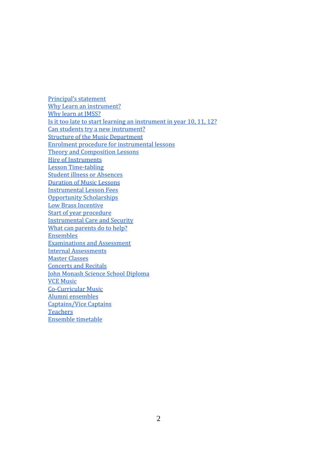Principal's statement Why Learn an instrument? Why learn at IMSS? Is it too late to start learning an instrument in year 10, 11, 12? Can students try a new instrument? Structure of the Music Department Enrolment procedure for instrumental lessons Theory and Composition Lessons Hire of Instruments Lesson Time-tabling Student illness or Absences Duration of Music Lessons Instrumental Lesson Fees Opportunity Scholarships Low Brass Incentive Start of year procedure Instrumental Care and Security What can parents do to help? Ensembles Examinations and Assessment Internal Assessments Master Classes Concerts and Recitals John Monash Science School Diploma VCE Music Co-Curricular Music Alumni ensembles Captains/Vice Captains **Teachers** Ensemble timetable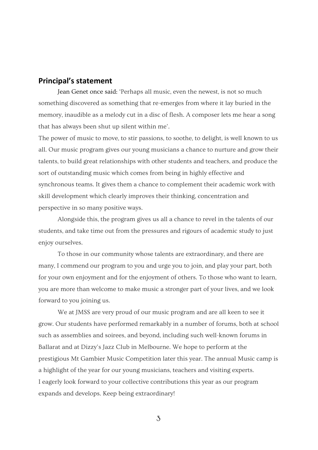#### **Principal's statement**

Jean Genet once said: 'Perhaps all music, even the newest, is not so much something discovered as something that re-emerges from where it lay buried in the memory, inaudible as a melody cut in a disc of flesh. A composer lets me hear a song that has always been shut up silent within me'.

The power of music to move, to stir passions, to soothe, to delight, is well known to us all. Our music program gives our young musicians a chance to nurture and grow their talents, to build great relationships with other students and teachers, and produce the sort of outstanding music which comes from being in highly effective and synchronous teams. It gives them a chance to complement their academic work with skill development which clearly improves their thinking, concentration and perspective in so many positive ways.

Alongside this, the program gives us all a chance to revel in the talents of our students, and take time out from the pressures and rigours of academic study to just enjoy ourselves.

To those in our community whose talents are extraordinary, and there are many, I commend our program to you and urge you to join, and play your part, both for your own enjoyment and for the enjoyment of others. To those who want to learn, you are more than welcome to make music a stronger part of your lives, and we look forward to you joining us.

We at JMSS are very proud of our music program and are all keen to see it grow. Our students have performed remarkably in a number of forums, both at school such as assemblies and soirees, and beyond, including such well-known forums in Ballarat and at Dizzy's Jazz Club in Melbourne. We hope to perform at the prestigious Mt Gambier Music Competition later this year. The annual Music camp is a highlight of the year for our young musicians, teachers and visiting experts. I eagerly look forward to your collective contributions this year as our program expands and develops. Keep being extraordinary!

3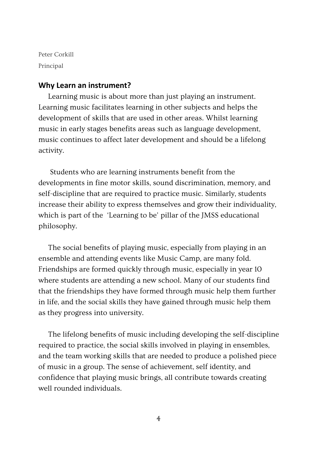Peter Corkill Principal

#### **Why Learn an instrument?**

Learning music is about more than just playing an instrument. Learning music facilitates learning in other subjects and helps the development of skills that are used in other areas. Whilst learning music in early stages benefits areas such as language development, music continues to affect later development and should be a lifelong activity.

 Students who are learning instruments benefit from the developments in fine motor skills, sound discrimination, memory, and self-discipline that are required to practice music. Similarly, students increase their ability to express themselves and grow their individuality, which is part of the 'Learning to be' pillar of the JMSS educational philosophy.

The social benefits of playing music, especially from playing in an ensemble and attending events like Music Camp, are many fold. Friendships are formed quickly through music, especially in year 10 where students are attending a new school. Many of our students find that the friendships they have formed through music help them further in life, and the social skills they have gained through music help them as they progress into university.

The lifelong benefits of music including developing the self-discipline required to practice, the social skills involved in playing in ensembles, and the team working skills that are needed to produce a polished piece of music in a group. The sense of achievement, self identity, and confidence that playing music brings, all contribute towards creating well rounded individuals.

4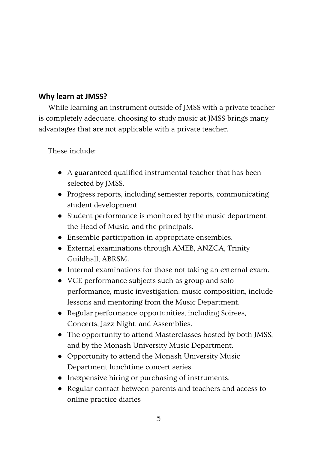# **Why learn at JMSS?**

While learning an instrument outside of JMSS with a private teacher is completely adequate, choosing to study music at JMSS brings many advantages that are not applicable with a private teacher.

These include:

- A guaranteed qualified instrumental teacher that has been selected by JMSS.
- Progress reports, including semester reports, communicating student development.
- Student performance is monitored by the music department, the Head of Music, and the principals.
- Ensemble participation in appropriate ensembles.
- External examinations through AMEB, ANZCA, Trinity Guildhall, ABRSM.
- Internal examinations for those not taking an external exam.
- VCE performance subjects such as group and solo performance, music investigation, music composition, include lessons and mentoring from the Music Department.
- Regular performance opportunities, including Soirees, Concerts, Jazz Night, and Assemblies.
- The opportunity to attend Masterclasses hosted by both JMSS, and by the Monash University Music Department.
- Opportunity to attend the Monash University Music Department lunchtime concert series.
- Inexpensive hiring or purchasing of instruments.
- Regular contact between parents and teachers and access to online practice diaries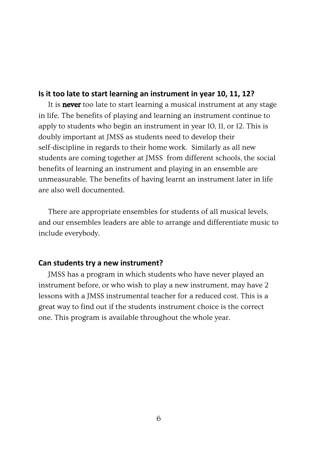#### **Is it too late to start learning an instrument in year 10, 11, 12?**

It is **never** too late to start learning a musical instrument at any stage in life. The benefits of playing and learning an instrument continue to apply to students who begin an instrument in year 10, 11, or 12. This is doubly important at JMSS as students need to develop their self-discipline in regards to their home work. Similarly as all new students are coming together at JMSS from different schools, the social benefits of learning an instrument and playing in an ensemble are unmeasurable. The benefits of having learnt an instrument later in life are also well documented.

There are appropriate ensembles for students of all musical levels, and our ensembles leaders are able to arrange and differentiate music to include everybody.

#### **Can students try a new instrument?**

JMSS has a program in which students who have never played an instrument before, or who wish to play a new instrument, may have 2 lessons with a JMSS instrumental teacher for a reduced cost. This is a great way to find out if the students instrument choice is the correct one. This program is available throughout the whole year.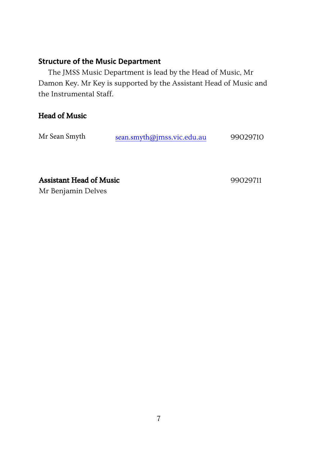# **Structure of the Music Department**

The JMSS Music Department is lead by the Head of Music, Mr Damon Key. Mr Key is supported by the Assistant Head of Music and the Instrumental Staff.

# Head of Music

| Mr Sean Smyth | sean.smyth@jmss.vic.edu.au | 99029710 |
|---------------|----------------------------|----------|
|---------------|----------------------------|----------|

Assistant Head of Music 99029711

Mr Benjamin Delves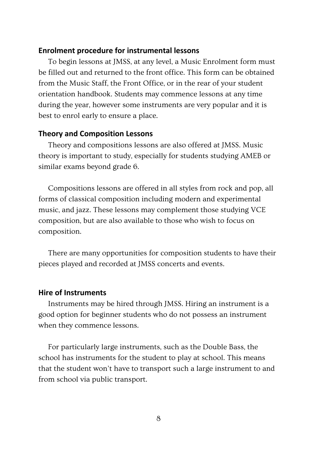#### **Enrolment procedure for instrumental lessons**

To begin lessons at JMSS, at any level, a Music Enrolment form must be filled out and returned to the front office. This form can be obtained from the Music Staff, the Front Office, or in the rear of your student orientation handbook. Students may commence lessons at any time during the year, however some instruments are very popular and it is best to enrol early to ensure a place.

#### **Theory and Composition Lessons**

Theory and compositions lessons are also offered at JMSS. Music theory is important to study, especially for students studying AMEB or similar exams beyond grade 6.

Compositions lessons are offered in all styles from rock and pop, all forms of classical composition including modern and experimental music, and jazz. These lessons may complement those studying VCE composition, but are also available to those who wish to focus on composition.

There are many opportunities for composition students to have their pieces played and recorded at JMSS concerts and events.

#### **Hire of Instruments**

Instruments may be hired through JMSS. Hiring an instrument is a good option for beginner students who do not possess an instrument when they commence lessons.

For particularly large instruments, such as the Double Bass, the school has instruments for the student to play at school. This means that the student won't have to transport such a large instrument to and from school via public transport.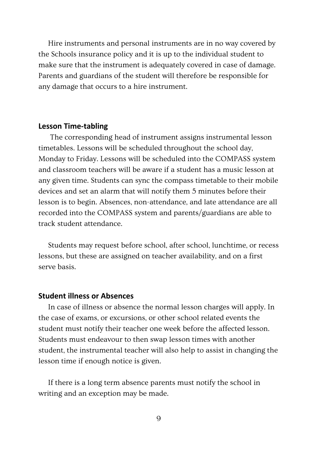Hire instruments and personal instruments are in no way covered by the Schools insurance policy and it is up to the individual student to make sure that the instrument is adequately covered in case of damage. Parents and guardians of the student will therefore be responsible for any damage that occurs to a hire instrument.

#### **Lesson Time-tabling**

 The corresponding head of instrument assigns instrumental lesson timetables. Lessons will be scheduled throughout the school day, Monday to Friday. Lessons will be scheduled into the COMPASS system and classroom teachers will be aware if a student has a music lesson at any given time. Students can sync the compass timetable to their mobile devices and set an alarm that will notify them 5 minutes before their lesson is to begin. Absences, non-attendance, and late attendance are all recorded into the COMPASS system and parents/guardians are able to track student attendance.

Students may request before school, after school, lunchtime, or recess lessons, but these are assigned on teacher availability, and on a first serve basis.

#### **Student illness or Absences**

In case of illness or absence the normal lesson charges will apply. In the case of exams, or excursions, or other school related events the student must notify their teacher one week before the affected lesson. Students must endeavour to then swap lesson times with another student, the instrumental teacher will also help to assist in changing the lesson time if enough notice is given.

If there is a long term absence parents must notify the school in writing and an exception may be made.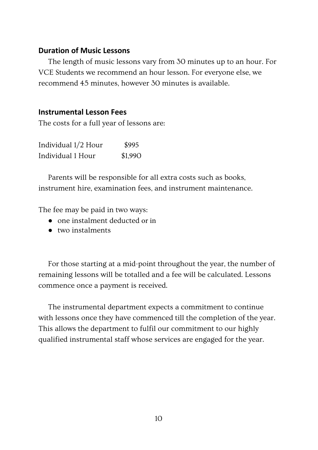# **Duration of Music Lessons**

The length of music lessons vary from 30 minutes up to an hour. For VCE Students we recommend an hour lesson. For everyone else, we recommend 45 minutes, however 30 minutes is available.

# **Instrumental Lesson Fees**

The costs for a full year of lessons are:

| Individual 1/2 Hour | \$995   |
|---------------------|---------|
| Individual 1 Hour   | \$1,990 |

Parents will be responsible for all extra costs such as books, instrument hire, examination fees, and instrument maintenance.

The fee may be paid in two ways:

- **●** one instalment deducted or in
- **●** two instalments

For those starting at a mid-point throughout the year, the number of remaining lessons will be totalled and a fee will be calculated. Lessons commence once a payment is received.

The instrumental department expects a commitment to continue with lessons once they have commenced till the completion of the year. This allows the department to fulfil our commitment to our highly qualified instrumental staff whose services are engaged for the year.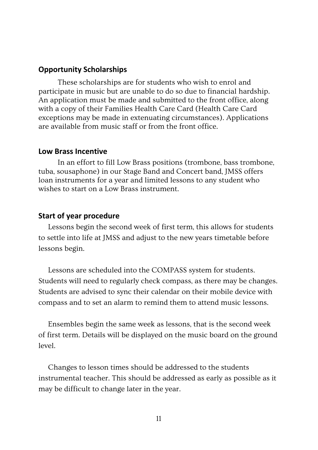#### **Opportunity Scholarships**

These scholarships are for students who wish to enrol and participate in music but are unable to do so due to financial hardship. An application must be made and submitted to the front office, along with a copy of their Families Health Care Card (Health Care Card exceptions may be made in extenuating circumstances). Applications are available from music staff or from the front office.

#### **Low Brass Incentive**

In an effort to fill Low Brass positions (trombone, bass trombone, tuba, sousaphone) in our Stage Band and Concert band, JMSS offers loan instruments for a year and limited lessons to any student who wishes to start on a Low Brass instrument.

# **Start of year procedure**

Lessons begin the second week of first term, this allows for students to settle into life at JMSS and adjust to the new years timetable before lessons begin.

Lessons are scheduled into the COMPASS system for students. Students will need to regularly check compass, as there may be changes. Students are advised to sync their calendar on their mobile device with compass and to set an alarm to remind them to attend music lessons.

Ensembles begin the same week as lessons, that is the second week of first term. Details will be displayed on the music board on the ground level.

Changes to lesson times should be addressed to the students instrumental teacher. This should be addressed as early as possible as it may be difficult to change later in the year.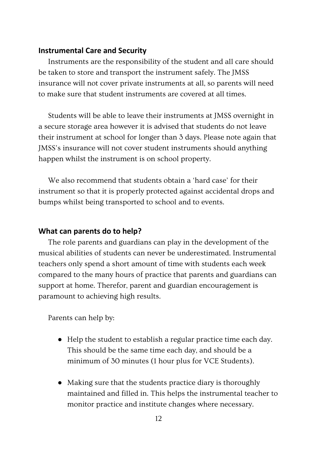# **Instrumental Care and Security**

Instruments are the responsibility of the student and all care should be taken to store and transport the instrument safely. The JMSS insurance will not cover private instruments at all, so parents will need to make sure that student instruments are covered at all times.

Students will be able to leave their instruments at JMSS overnight in a secure storage area however it is advised that students do not leave their instrument at school for longer than 3 days. Please note again that JMSS's insurance will not cover student instruments should anything happen whilst the instrument is on school property.

We also recommend that students obtain a 'hard case' for their instrument so that it is properly protected against accidental drops and bumps whilst being transported to school and to events.

# **What can parents do to help?**

The role parents and guardians can play in the development of the musical abilities of students can never be underestimated. Instrumental teachers only spend a short amount of time with students each week compared to the many hours of practice that parents and guardians can support at home. Therefor, parent and guardian encouragement is paramount to achieving high results.

Parents can help by:

- Help the student to establish a regular practice time each day. This should be the same time each day, and should be a minimum of 30 minutes (1 hour plus for VCE Students).
- Making sure that the students practice diary is thoroughly maintained and filled in. This helps the instrumental teacher to monitor practice and institute changes where necessary.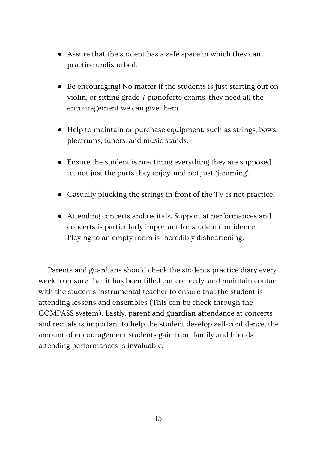- Assure that the student has a safe space in which they can practice undisturbed.
- Be encouraging! No matter if the students is just starting out on violin, or sitting grade 7 pianoforte exams, they need all the encouragement we can give them.
- Help to maintain or purchase equipment, such as strings, bows, plectrums, tuners, and music stands.
- Ensure the student is practicing everything they are supposed to, not just the parts they enjoy, and not just 'jamming'.
- Casually plucking the strings in front of the TV is not practice.
- Attending concerts and recitals. Support at performances and concerts is particularly important for student confidence. Playing to an empty room is incredibly disheartening.

Parents and guardians should check the students practice diary every week to ensure that it has been filled out correctly, and maintain contact with the students instrumental teacher to ensure that the student is attending lessons and ensembles (This can be check through the COMPASS system). Lastly, parent and guardian attendance at concerts and recitals is important to help the student develop self-confidence, the amount of encouragement students gain from family and friends attending performances is invaluable.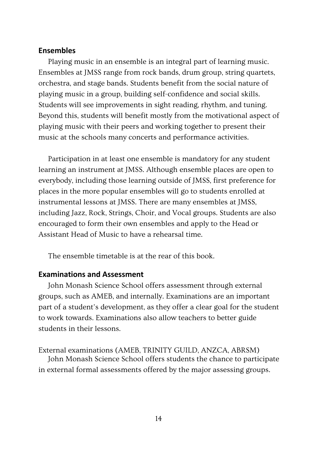#### **Ensembles**

Playing music in an ensemble is an integral part of learning music. Ensembles at JMSS range from rock bands, drum group, string quartets, orchestra, and stage bands. Students benefit from the social nature of playing music in a group, building self-confidence and social skills. Students will see improvements in sight reading, rhythm, and tuning. Beyond this, students will benefit mostly from the motivational aspect of playing music with their peers and working together to present their music at the schools many concerts and performance activities.

Participation in at least one ensemble is mandatory for any student learning an instrument at JMSS. Although ensemble places are open to everybody, including those learning outside of JMSS, first preference for places in the more popular ensembles will go to students enrolled at instrumental lessons at JMSS. There are many ensembles at JMSS, including Jazz, Rock, Strings, Choir, and Vocal groups. Students are also encouraged to form their own ensembles and apply to the Head or Assistant Head of Music to have a rehearsal time.

The ensemble timetable is at the rear of this book.

#### **Examinations and Assessment**

John Monash Science School offers assessment through external groups, such as AMEB, and internally. Examinations are an important part of a student's development, as they offer a clear goal for the student to work towards. Examinations also allow teachers to better guide students in their lessons.

External examinations (AMEB, TRINITY GUILD, ANZCA, ABRSM)

John Monash Science School offers students the chance to participate in external formal assessments offered by the major assessing groups.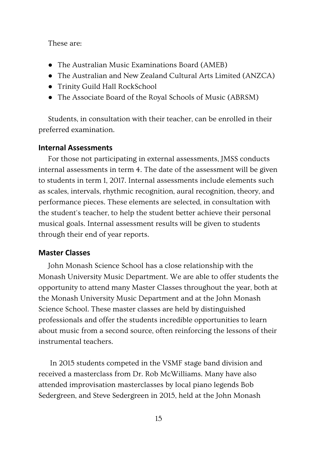# These are:

- The Australian Music Examinations Board (AMEB)
- The Australian and New Zealand Cultural Arts Limited (ANZCA)
- Trinity Guild Hall RockSchool
- The Associate Board of the Royal Schools of Music (ABRSM)

Students, in consultation with their teacher, can be enrolled in their preferred examination.

# **Internal Assessments**

For those not participating in external assessments, JMSS conducts internal assessments in term 4. The date of the assessment will be given to students in term 1, 2017. Internal assessments include elements such as scales, intervals, rhythmic recognition, aural recognition, theory, and performance pieces. These elements are selected, in consultation with the student's teacher, to help the student better achieve their personal musical goals. Internal assessment results will be given to students through their end of year reports.

# **Master Classes**

John Monash Science School has a close relationship with the Monash University Music Department. We are able to offer students the opportunity to attend many Master Classes throughout the year, both at the Monash University Music Department and at the John Monash Science School. These master classes are held by distinguished professionals and offer the students incredible opportunities to learn about music from a second source, often reinforcing the lessons of their instrumental teachers.

 In 2015 students competed in the VSMF stage band division and received a masterclass from Dr. Rob McWilliams. Many have also attended improvisation masterclasses by local piano legends Bob Sedergreen, and Steve Sedergreen in 2015, held at the John Monash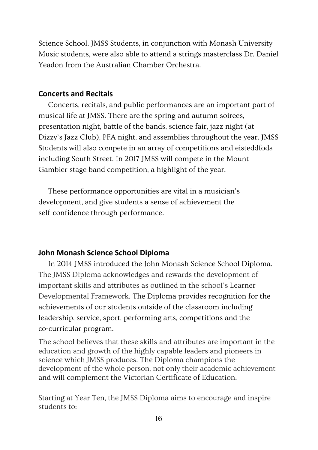Science School. JMSS Students, in conjunction with Monash University Music students, were also able to attend a strings masterclass Dr. Daniel Yeadon from the Australian Chamber Orchestra.

#### **Concerts and Recitals**

Concerts, recitals, and public performances are an important part of musical life at JMSS. There are the spring and autumn soirees, presentation night, battle of the bands, science fair, jazz night (at Dizzy's Jazz Club), PFA night, and assemblies throughout the year. JMSS Students will also compete in an array of competitions and eisteddfods including South Street. In 2017 JMSS will compete in the Mount Gambier stage band competition, a highlight of the year.

These performance opportunities are vital in a musician's development, and give students a sense of achievement the self-confidence through performance.

# **John Monash Science School Diploma**

In 2014 JMSS introduced the John Monash Science School Diploma. The JMSS Diploma acknowledges and rewards the development of important skills and attributes as outlined in the school's Learner Developmental Framework. The Diploma provides recognition for the achievements of our students outside of the classroom including leadership, service, sport, performing arts, competitions and the co-curricular program.

The school believes that these skills and attributes are important in the education and growth of the highly capable leaders and pioneers in science which JMSS produces. The Diploma champions the development of the whole person, not only their academic achievement and will complement the Victorian Certificate of Education.

Starting at Year Ten, the JMSS Diploma aims to encourage and inspire students to: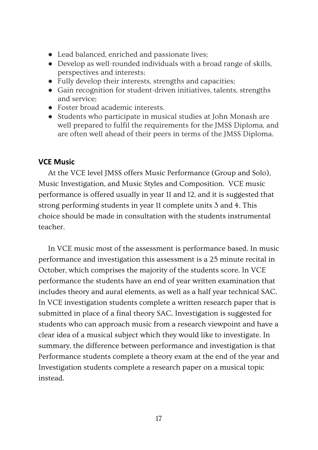- Lead balanced, enriched and passionate lives;
- Develop as well-rounded individuals with a broad range of skills, perspectives and interests;
- Fully develop their interests, strengths and capacities;
- Gain recognition for student-driven initiatives, talents, strengths and service;
- Foster broad academic interests.
- Students who participate in musical studies at John Monash are well prepared to fulfil the requirements for the JMSS Diploma, and are often well ahead of their peers in terms of the JMSS Diploma.

# **VCE Music**

At the VCE level JMSS offers Music Performance (Group and Solo), Music Investigation, and Music Styles and Composition. VCE music performance is offered usually in year 11 and 12, and it is suggested that strong performing students in year 11 complete units 3 and 4. This choice should be made in consultation with the students instrumental teacher.

In VCE music most of the assessment is performance based. In music performance and investigation this assessment is a 25 minute recital in October, which comprises the majority of the students score. In VCE performance the students have an end of year written examination that includes theory and aural elements, as well as a half year technical SAC. In VCE investigation students complete a written research paper that is submitted in place of a final theory SAC. Investigation is suggested for students who can approach music from a research viewpoint and have a clear idea of a musical subject which they would like to investigate. In summary, the difference between performance and investigation is that Performance students complete a theory exam at the end of the year and Investigation students complete a research paper on a musical topic instead.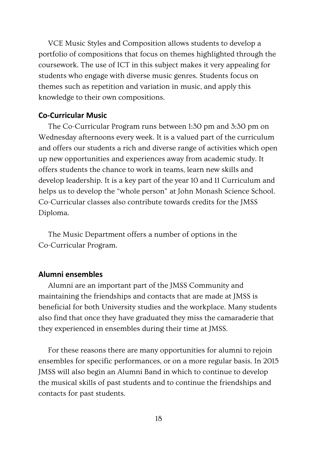VCE Music Styles and Composition allows students to develop a portfolio of compositions that focus on themes highlighted through the coursework. The use of ICT in this subject makes it very appealing for students who engage with diverse music genres. Students focus on themes such as repetition and variation in music, and apply this knowledge to their own compositions.

#### **Co-Curricular Music**

The Co-Curricular Program runs between 1:30 pm and 3:30 pm on Wednesday afternoons every week. It is a valued part of the curriculum and offers our students a rich and diverse range of activities which open up new opportunities and experiences away from academic study. It offers students the chance to work in teams, learn new skills and develop leadership. It is a key part of the year 10 and 11 Curriculum and helps us to develop the "whole person" at John Monash Science School. Co-Curricular classes also contribute towards credits for the JMSS Diploma.

The Music Department offers a number of options in the Co-Curricular Program.

# **Alumni ensembles**

Alumni are an important part of the JMSS Community and maintaining the friendships and contacts that are made at JMSS is beneficial for both University studies and the workplace. Many students also find that once they have graduated they miss the camaraderie that they experienced in ensembles during their time at JMSS.

For these reasons there are many opportunities for alumni to rejoin ensembles for specific performances, or on a more regular basis. In 2015 JMSS will also begin an Alumni Band in which to continue to develop the musical skills of past students and to continue the friendships and contacts for past students.